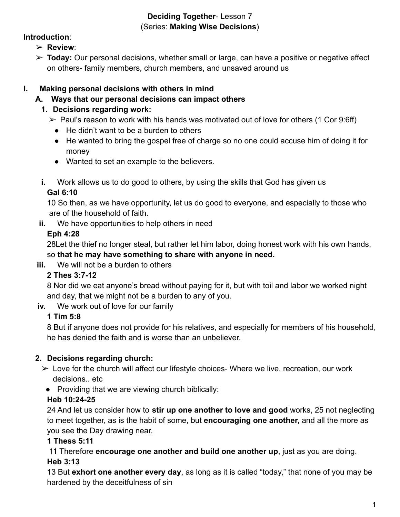#### **Deciding Together**- Lesson 7 (Series: **Making Wise Decisions**)

#### **Introduction**:

- ➢ **Review**:
- ➢ **Today:** Our personal decisions, whether small or large, can have a positive or negative effect on others- family members, church members, and unsaved around us

# **I. Making personal decisions with others in mind**

# **A. Ways that our personal decisions can impact others**

# **1. Decisions regarding work:**

 $\triangleright$  Paul's reason to work with his hands was motivated out of love for others (1 Cor 9:6ff)

- He didn't want to be a burden to others
- He wanted to bring the gospel free of charge so no one could accuse him of doing it for money
- Wanted to set an example to the believers.
- **i.** Work allows us to do good to others, by using the skills that God has given us

# **Gal 6:10**

10 So then, as we have opportunity, let us do good to everyone, and especially to those who are of the household of faith.

**ii.** We have opportunities to help others in need

# **Eph 4:28**

28Let the thief no longer steal, but rather let him labor, doing honest work with his own hands, so **that he may have something to share with anyone in need.**

**iii.** We will not be a burden to others

# **2 Thes 3:7-12**

8 Nor did we eat anyone's bread without paying for it, but with toil and labor we worked night and day, that we might not be a burden to any of you.

**iv.** We work out of love for our family

# **1 Tim 5:8**

8 But if anyone does not provide for his relatives, and especially for members of his household, he has denied the faith and is worse than an unbeliever.

# **2. Decisions regarding church:**

- $\triangleright$  Love for the church will affect our lifestyle choices- Where we live, recreation, our work decisions.. etc
	- Providing that we are viewing church biblically:

# **Heb 10:24-25**

24 And let us consider how to **stir up one another to love and good** works, 25 not neglecting to meet together, as is the habit of some, but **encouraging one another,** and all the more as you see the Day drawing near.

# **1 Thess 5:11**

11 Therefore **encourage one another and build one another up**, just as you are doing. **Heb 3:13**

13 But **exhort one another every day**, as long as it is called "today," that none of you may be hardened by the deceitfulness of sin